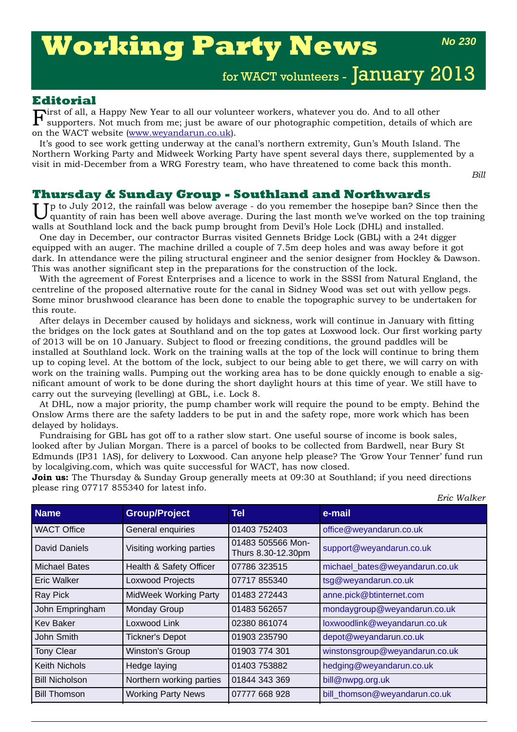# **Working Party News**

*No 230*

for WACT volunteers - January 2013

## **Editorial**

 $\mathbf F$ irst of all, a Happy New Year to all our volunteer workers, whatever you do. And to all other supporters. Not much from me; just be aware of our photographic competition, details of wh supporters. Not much from me; just be aware of our photographic competition, details of which are on the WACT website (www.weyandarun.co.uk).

It's good to see work getting underway at the canal's northern extremity, Gun's Mouth Island. The Northern Working Party and Midweek Working Party have spent several days there, supplemented by a visit in mid-December from a WRG Forestry team, who have threatened to come back this month.

*Bill*

# **Thursday & Sunday Group - Southland and Northwards**

Tp to July 2012, the rainfall was below average - do you remember the hosepipe ban? Since then the quantity of rain has been well above average. During the last month we've worked on the top training walls at Southland lock and the back pump brought from Devil's Hole Lock (DHL) and installed.

One day in December, our contractor Burras visited Gennets Bridge Lock (GBL) with a 24t digger equipped with an auger. The machine drilled a couple of 7.5m deep holes and was away before it got dark. In attendance were the piling structural engineer and the senior designer from Hockley & Dawson. This was another significant step in the preparations for the construction of the lock.

With the agreement of Forest Enterprises and a licence to work in the SSSI from Natural England, the centreline of the proposed alternative route for the canal in Sidney Wood was set out with yellow pegs. Some minor brushwood clearance has been done to enable the topographic survey to be undertaken for this route.

After delays in December caused by holidays and sickness, work will continue in January with fitting the bridges on the lock gates at Southland and on the top gates at Loxwood lock. Our first working party of 2013 will be on 10 January. Subject to flood or freezing conditions, the ground paddles will be installed at Southland lock. Work on the training walls at the top of the lock will continue to bring them up to coping level. At the bottom of the lock, subject to our being able to get there, we will carry on with work on the training walls. Pumping out the working area has to be done quickly enough to enable a significant amount of work to be done during the short daylight hours at this time of year. We still have to carry out the surveying (levelling) at GBL, i.e. Lock 8.

At DHL, now a major priority, the pump chamber work will require the pound to be empty. Behind the Onslow Arms there are the safety ladders to be put in and the safety rope, more work which has been delayed by holidays.

Fundraising for GBL has got off to a rather slow start. One useful sourse of income is book sales, looked after by Julian Morgan. There is a parcel of books to be collected from Bardwell, near Bury St Edmunds (IP31 1AS), for delivery to Loxwood. Can anyone help please? The 'Grow Your Tenner' fund run by localgiving.com, which was quite successful for WACT, has now closed.

**Join us:** The Thursday & Sunday Group generally meets at 09:30 at Southland; if you need directions please ring 07717 855340 for latest info.

| <b>Name</b>           | <b>Group/Project</b>         | Tel                                     | e-mail                         |
|-----------------------|------------------------------|-----------------------------------------|--------------------------------|
| <b>WACT Office</b>    | General enquiries            | 01403 752403                            | office@weyandarun.co.uk        |
| David Daniels         | Visiting working parties     | 01483 505566 Mon-<br>Thurs 8.30-12.30pm | support@weyandarun.co.uk       |
| <b>Michael Bates</b>  | Health & Safety Officer      | 07786 323515                            | michael_bates@weyandarun.co.uk |
| Eric Walker           | <b>Loxwood Projects</b>      | 07717 855340                            | tsg@weyandarun.co.uk           |
| <b>Ray Pick</b>       | <b>MidWeek Working Party</b> | 01483 272443                            | anne.pick@btinternet.com       |
| John Empringham       | <b>Monday Group</b>          | 01483 562657                            | mondaygroup@weyandarun.co.uk   |
| <b>Kev Baker</b>      | Loxwood Link                 | 02380 861074                            | loxwoodlink@weyandarun.co.uk   |
| John Smith            | <b>Tickner's Depot</b>       | 01903 235790                            | depot@weyandarun.co.uk         |
| <b>Tony Clear</b>     | Winston's Group              | 01903 774 301                           | winstonsgroup@weyandarun.co.uk |
| <b>Keith Nichols</b>  | Hedge laying                 | 01403 753882                            | hedging@weyandarun.co.uk       |
| <b>Bill Nicholson</b> | Northern working parties     | 01844 343 369                           | bill@nwpg.org.uk               |
| <b>Bill Thomson</b>   | <b>Working Party News</b>    | 07777 668 928                           | bill_thomson@weyandarun.co.uk  |

*Eric Walker*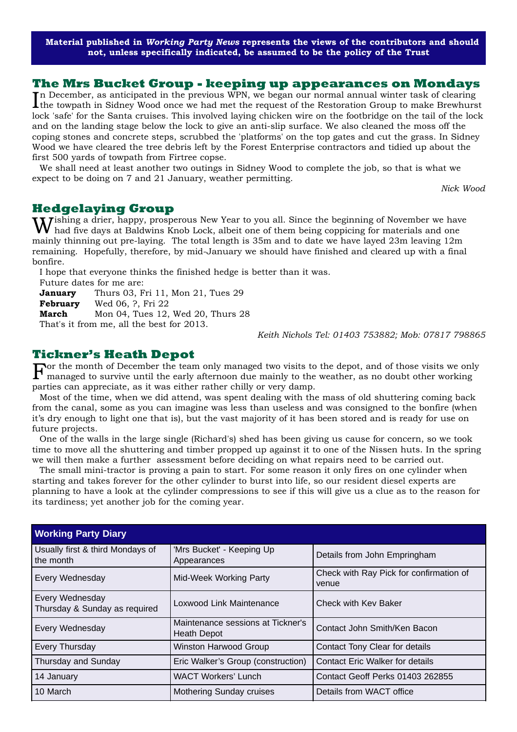**Material published in** *Working Party News* **represents the views of the contributors and should not, unless specifically indicated, be assumed to be the policy of the Trust**

#### **The Mrs Bucket Group - keeping up appearances on Mondays**

In December, as anticipated in the previous WPN, we began our normal annual winter task of clearing<br>the towpath in Sidney Wood once we had met the request of the Restoration Group to make Brewhurs the towpath in Sidney Wood once we had met the request of the Restoration Group to make Brewhurst lock 'safe' for the Santa cruises. This involved laying chicken wire on the footbridge on the tail of the lock and on the landing stage below the lock to give an anti-slip surface. We also cleaned the moss off the coping stones and concrete steps, scrubbed the 'platforms' on the top gates and cut the grass. In Sidney Wood we have cleared the tree debris left by the Forest Enterprise contractors and tidied up about the first 500 yards of towpath from Firtree copse.

We shall need at least another two outings in Sidney Wood to complete the job, so that is what we expect to be doing on 7 and 21 January, weather permitting.

*Nick Wood*

#### **Hedgelaying Group**

Wishing a drier, happy, prosperous New Year to you all. Since the beginning of November we have had five days at Baldwins Knob Lock, albeit one of them being coppicing for materials and one mainly thinning out pre-laying. The total length is 35m and to date we have layed 23m leaving 12m remaining. Hopefully, therefore, by mid-January we should have finished and cleared up with a final bonfire.

I hope that everyone thinks the finished hedge is better than it was.

Future dates for me are:

**January** Thurs 03, Fri 11, Mon 21, Tues 29

**February** Wed 06, ?, Fri 22

**March** Mon 04, Tues 12, Wed 20, Thurs 28

That's it from me, all the best for 2013.

*Keith Nichols Tel: 01403 753882; Mob: 07817 798865*

#### **Tickner's Heath Depot**

For the month of December the team only managed two visits to the depot, and of those visits we only managed to survive until the early afternoon due mainly to the weather, as no doubt other working parties can appreciate, as it was either rather chilly or very damp.

Most of the time, when we did attend, was spent dealing with the mass of old shuttering coming back from the canal, some as you can imagine was less than useless and was consigned to the bonfire (when it's dry enough to light one that is), but the vast majority of it has been stored and is ready for use on future projects.

One of the walls in the large single (Richard's) shed has been giving us cause for concern, so we took time to move all the shuttering and timber propped up against it to one of the Nissen huts. In the spring we will then make a further assessment before deciding on what repairs need to be carried out.

The small mini-tractor is proving a pain to start. For some reason it only fires on one cylinder when starting and takes forever for the other cylinder to burst into life, so our resident diesel experts are planning to have a look at the cylinder compressions to see if this will give us a clue as to the reason for its tardiness; yet another job for the coming year.

| <b>Working Party Diary</b>                              |                                                         |                                                  |  |  |
|---------------------------------------------------------|---------------------------------------------------------|--------------------------------------------------|--|--|
| Usually first & third Mondays of<br>the month           | 'Mrs Bucket' - Keeping Up<br>Appearances                | Details from John Empringham                     |  |  |
| <b>Every Wednesday</b>                                  | <b>Mid-Week Working Party</b>                           | Check with Ray Pick for confirmation of<br>venue |  |  |
| <b>Every Wednesday</b><br>Thursday & Sunday as required | Loxwood Link Maintenance                                | Check with Key Baker                             |  |  |
| <b>Every Wednesday</b>                                  | Maintenance sessions at Tickner's<br><b>Heath Depot</b> | Contact John Smith/Ken Bacon                     |  |  |
| <b>Every Thursday</b>                                   | <b>Winston Harwood Group</b>                            | Contact Tony Clear for details                   |  |  |
| Thursday and Sunday                                     | Eric Walker's Group (construction)                      | <b>Contact Eric Walker for details</b>           |  |  |
| 14 January                                              | <b>WACT Workers' Lunch</b>                              | Contact Geoff Perks 01403 262855                 |  |  |
| 10 March                                                | Mothering Sunday cruises                                | Details from WACT office                         |  |  |